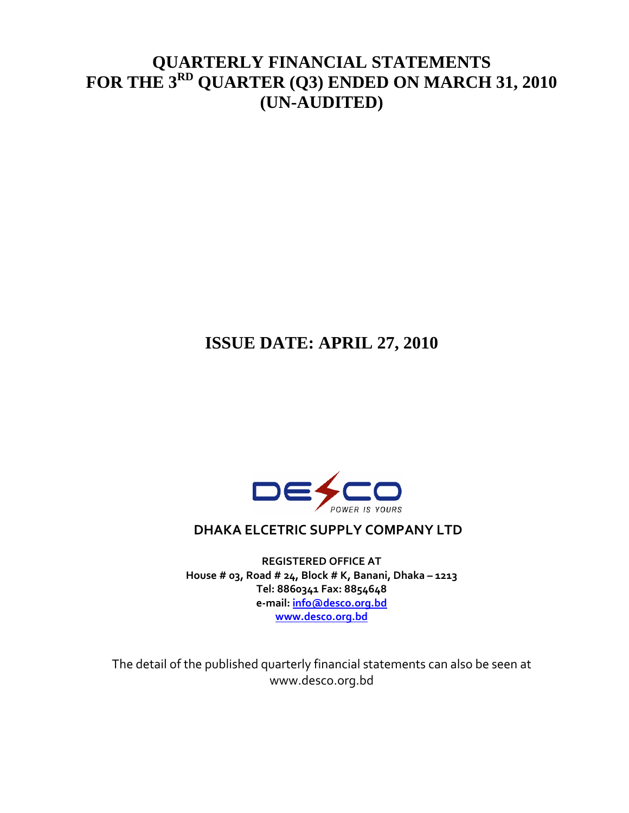## **QUARTERLY FINANCIAL STATEMENTS FOR THE 3RD QUARTER (Q3) ENDED ON MARCH 31, 2010 (UN-AUDITED)**

# **ISSUE DATE: APRIL 27, 2010**



### **DHAKA ELCETRIC SUPPLY COMPANY LTD**

**REGISTERED OFFICE AT House # 03, Road # 24, Block # K, Banani, Dhaka – 1213 Tel: 8860341 Fax: 8854648 e‐mail: info@desco.org.bd www.desco.org.bd**

The detail of the published quarterly financial statements can also be seen at www.desco.org.bd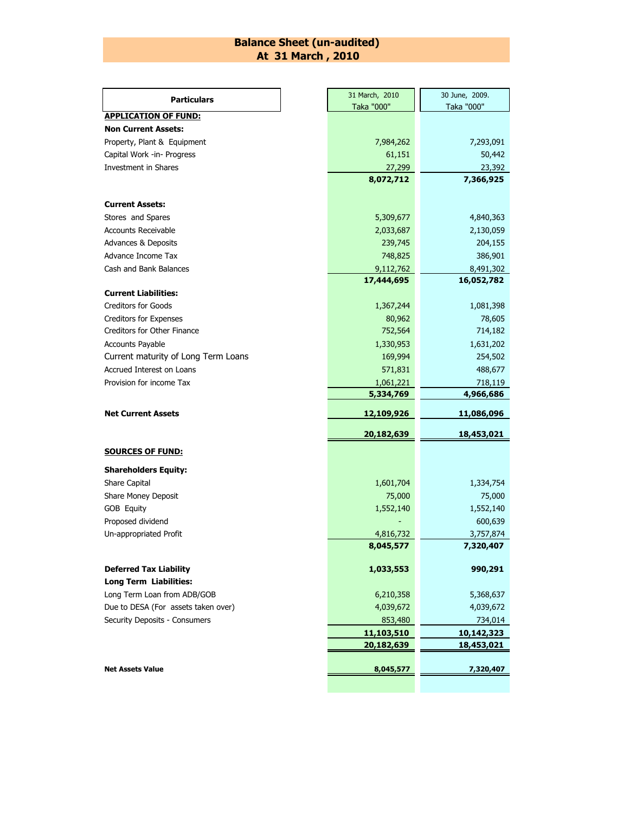#### **Balance Sheet (un-audited) At 31 March , 2010**

| <b>Particulars</b>                          |           | 31 March, 2010      | 30 June, 2009.         |  |  |
|---------------------------------------------|-----------|---------------------|------------------------|--|--|
|                                             |           | Taka "000"          | Taka "000"             |  |  |
| <b>APPLICATION OF FUND:</b>                 |           |                     |                        |  |  |
| <b>Non Current Assets:</b>                  |           |                     |                        |  |  |
| Property, Plant & Equipment                 | 7,984,262 | 7,293,091           |                        |  |  |
| Capital Work -in- Progress                  |           | 61,151              | 50,442                 |  |  |
| Investment in Shares                        |           | 27,299              | 23,392                 |  |  |
|                                             |           | 8,072,712           | 7,366,925              |  |  |
| <b>Current Assets:</b>                      |           |                     |                        |  |  |
| Stores and Spares                           |           | 5,309,677           | 4,840,363              |  |  |
| <b>Accounts Receivable</b>                  |           | 2,033,687           | 2,130,059              |  |  |
| <b>Advances &amp; Deposits</b>              |           | 239,745             | 204,155                |  |  |
| Advance Income Tax                          |           | 748,825             | 386,901                |  |  |
| Cash and Bank Balances                      |           | 9,112,762           | 8,491,302              |  |  |
|                                             |           | 17,444,695          | 16,052,782             |  |  |
| <b>Current Liabilities:</b>                 |           |                     |                        |  |  |
| <b>Creditors for Goods</b>                  |           | 1,367,244           | 1,081,398              |  |  |
| <b>Creditors for Expenses</b>               |           | 80,962              | 78,605                 |  |  |
| Creditors for Other Finance                 | 752,564   | 714,182             |                        |  |  |
| Accounts Payable                            |           | 1,330,953           | 1,631,202              |  |  |
| Current maturity of Long Term Loans         |           | 169,994             | 254,502                |  |  |
| Accrued Interest on Loans                   |           | 571,831             | 488,677                |  |  |
| Provision for income Tax                    |           | 1,061,221           | 718,119                |  |  |
|                                             |           |                     |                        |  |  |
|                                             |           | 5,334,769           | 4,966,686              |  |  |
| <b>Net Current Assets</b>                   |           | 12,109,926          | 11,086,096             |  |  |
|                                             |           | 20,182,639          | 18,453,021             |  |  |
| <b>SOURCES OF FUND:</b>                     |           |                     |                        |  |  |
|                                             |           |                     |                        |  |  |
| <b>Shareholders Equity:</b>                 |           |                     |                        |  |  |
| Share Capital                               |           | 1,601,704<br>75,000 | 1,334,754              |  |  |
| Share Money Deposit                         |           |                     | 75,000                 |  |  |
| GOB Equity                                  |           | 1,552,140           | 1,552,140<br>600,639   |  |  |
| Proposed dividend<br>Un-appropriated Profit |           | 4,816,732           |                        |  |  |
|                                             |           | 8,045,577           | 3,757,874<br>7,320,407 |  |  |
| <b>Deferred Tax Liability</b>               |           | 1,033,553           | 990,291                |  |  |
| <b>Long Term Liabilities:</b>               |           |                     |                        |  |  |
| Long Term Loan from ADB/GOB                 |           | 6,210,358           | 5,368,637              |  |  |
| Due to DESA (For assets taken over)         |           | 4,039,672           | 4,039,672              |  |  |
| Security Deposits - Consumers               |           | 853,480             | 734,014                |  |  |
|                                             |           | 11,103,510          | 10,142,323             |  |  |
|                                             |           | 20,182,639          | <u>18,453,021</u>      |  |  |
| <b>Net Assets Value</b>                     |           | 8,045,577           | 7,320,407              |  |  |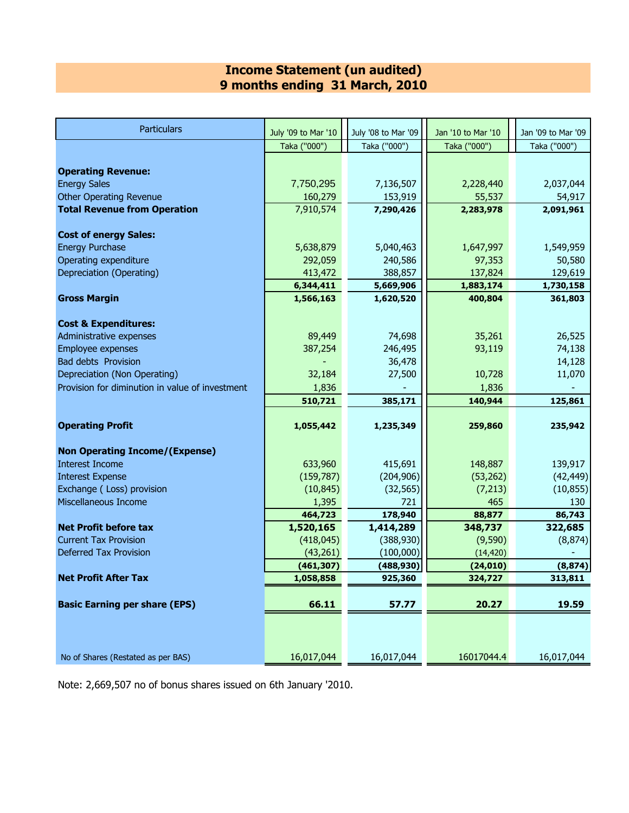#### **Income Statement (un audited) 9 months ending 31 March, 2010**

| <b>Particulars</b>                              | July '09 to Mar '10 | July '08 to Mar '09 | Jan '10 to Mar '10 | Jan '09 to Mar '09 |
|-------------------------------------------------|---------------------|---------------------|--------------------|--------------------|
|                                                 | Taka ("000")        | Taka ("000")        | Taka ("000")       | Taka ("000")       |
|                                                 |                     |                     |                    |                    |
| <b>Operating Revenue:</b>                       |                     |                     |                    |                    |
| <b>Energy Sales</b>                             | 7,750,295           | 7,136,507           | 2,228,440          | 2,037,044          |
| <b>Other Operating Revenue</b>                  | 160,279             | 153,919             | 55,537             | 54,917             |
| <b>Total Revenue from Operation</b>             | 7,910,574           | 7,290,426           | 2,283,978          | 2,091,961          |
|                                                 |                     |                     |                    |                    |
| <b>Cost of energy Sales:</b>                    |                     |                     |                    |                    |
| <b>Energy Purchase</b>                          | 5,638,879           | 5,040,463           | 1,647,997          | 1,549,959          |
| Operating expenditure                           | 292,059             | 240,586             | 97,353             | 50,580             |
| Depreciation (Operating)                        | 413,472             | 388,857             | 137,824            | 129,619            |
|                                                 | 6,344,411           | 5,669,906           | 1,883,174          | 1,730,158          |
| <b>Gross Margin</b>                             | 1,566,163           | 1,620,520           | 400,804            | 361,803            |
| <b>Cost &amp; Expenditures:</b>                 |                     |                     |                    |                    |
| Administrative expenses                         | 89,449              | 74,698              | 35,261             | 26,525             |
| Employee expenses                               | 387,254             | 246,495             | 93,119             | 74,138             |
| <b>Bad debts Provision</b>                      |                     | 36,478              |                    | 14,128             |
| Depreciation (Non Operating)                    | 32,184              | 27,500              | 10,728             | 11,070             |
| Provision for diminution in value of investment | 1,836               |                     | 1,836              |                    |
|                                                 | 510,721             | 385,171             | 140,944            | 125,861            |
|                                                 |                     |                     |                    |                    |
| <b>Operating Profit</b>                         | 1,055,442           | 1,235,349           | 259,860            | 235,942            |
| <b>Non Operating Income/(Expense)</b>           |                     |                     |                    |                    |
| <b>Interest Income</b>                          | 633,960             | 415,691             | 148,887            | 139,917            |
| <b>Interest Expense</b>                         | (159, 787)          | (204, 906)          | (53, 262)          | (42, 449)          |
| Exchange (Loss) provision                       | (10, 845)           | (32, 565)           | (7,213)            | (10, 855)          |
| Miscellaneous Income                            | 1,395               | 721                 | 465                | 130                |
|                                                 | 464,723             | 178,940             | 88,877             | 86,743             |
| <b>Net Profit before tax</b>                    | 1,520,165           | 1,414,289           | 348,737            | 322,685            |
| <b>Current Tax Provision</b>                    | (418, 045)          | (388, 930)          | (9,590)            | (8, 874)           |
| <b>Deferred Tax Provision</b>                   | (43, 261)           | (100,000)           | (14, 420)          |                    |
|                                                 | (461, 307)          | (488, 930)          | (24, 010)          | (8, 874)           |
| <b>Net Profit After Tax</b>                     | 1,058,858           | 925,360             | 324,727            | 313,811            |
|                                                 |                     |                     |                    |                    |
| <b>Basic Earning per share (EPS)</b>            | 66.11               | 57.77               | 20.27              | 19.59              |
|                                                 |                     |                     |                    |                    |
|                                                 |                     |                     |                    |                    |
|                                                 |                     |                     |                    |                    |
| No of Shares (Restated as per BAS)              | 16,017,044          | 16,017,044          | 16017044.4         | 16,017,044         |

Note: 2,669,507 no of bonus shares issued on 6th January '2010.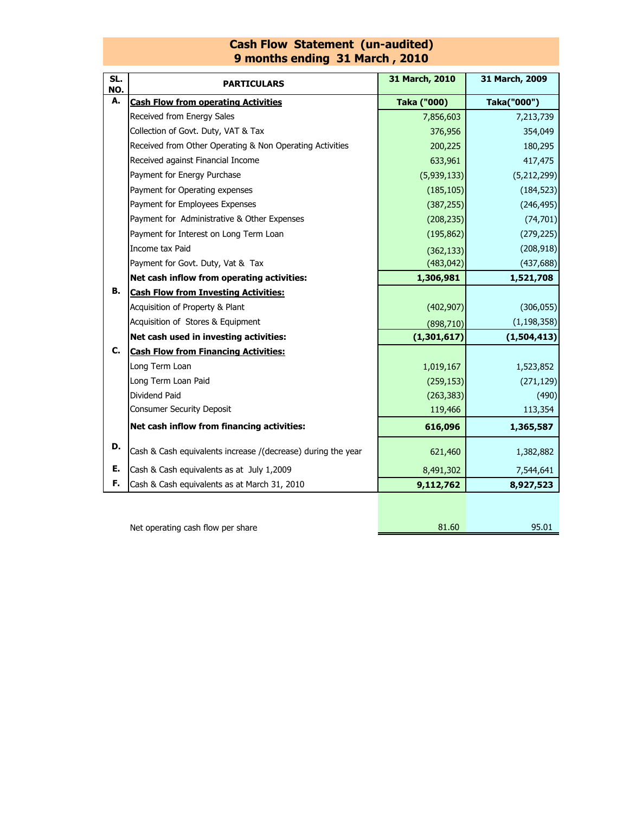#### **Cash Flow Statement (un-audited) 9 months ending 31 March , 2010**

| SL.<br>NO. | <b>PARTICULARS</b>                                           | 31 March, 2010 | 31 March, 2009 |  |
|------------|--------------------------------------------------------------|----------------|----------------|--|
| А.         | <b>Cash Flow from operating Activities</b>                   | Taka ("000)    | Taka("000")    |  |
|            | Received from Energy Sales                                   | 7,856,603      | 7,213,739      |  |
|            | Collection of Govt. Duty, VAT & Tax                          | 376,956        | 354,049        |  |
|            | Received from Other Operating & Non Operating Activities     | 200,225        | 180,295        |  |
|            | Received against Financial Income                            | 633,961        | 417,475        |  |
|            | Payment for Energy Purchase                                  | (5,939,133)    | (5,212,299)    |  |
|            | Payment for Operating expenses                               | (185, 105)     | (184, 523)     |  |
|            | Payment for Employees Expenses                               | (387, 255)     | (246, 495)     |  |
|            | Payment for Administrative & Other Expenses                  | (208, 235)     | (74, 701)      |  |
|            | Payment for Interest on Long Term Loan                       | (195, 862)     | (279, 225)     |  |
|            | Income tax Paid                                              | (362, 133)     | (208, 918)     |  |
|            | Payment for Govt. Duty, Vat & Tax                            | (483, 042)     | (437, 688)     |  |
|            | Net cash inflow from operating activities:                   | 1,306,981      | 1,521,708      |  |
| в.         | <b>Cash Flow from Investing Activities:</b>                  |                |                |  |
|            | Acquisition of Property & Plant                              | (402, 907)     | (306, 055)     |  |
|            | Acquisition of Stores & Equipment                            | (898, 710)     | (1, 198, 358)  |  |
|            | Net cash used in investing activities:                       | (1,301,617)    | (1,504,413)    |  |
| С.         | <b>Cash Flow from Financing Activities:</b>                  |                |                |  |
|            | Long Term Loan                                               | 1,019,167      | 1,523,852      |  |
|            | Long Term Loan Paid                                          | (259, 153)     | (271, 129)     |  |
|            | Dividend Paid                                                | (263, 383)     | (490)          |  |
|            | <b>Consumer Security Deposit</b>                             | 119,466        | 113,354        |  |
|            | Net cash inflow from financing activities:                   | 616,096        | 1,365,587      |  |
| D.         | Cash & Cash equivalents increase /(decrease) during the year | 621,460        | 1,382,882      |  |
| Е.         | Cash & Cash equivalents as at July 1,2009                    | 8,491,302      | 7,544,641      |  |
| F.         | Cash & Cash equivalents as at March 31, 2010                 | 9,112,762      | 8,927,523      |  |
|            |                                                              |                |                |  |

Net operating cash flow per share

81.60 95.01